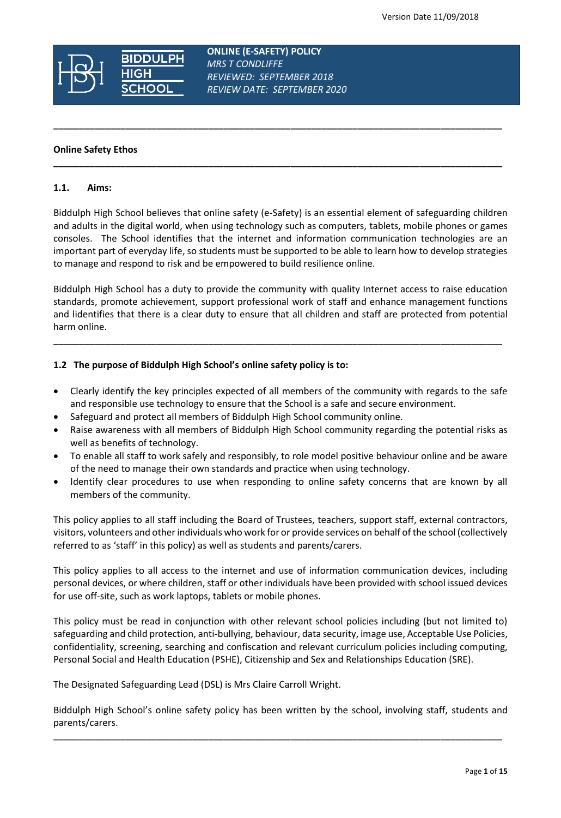

 **ONLINE (E-SAFETY) POLICY**  *MRS T CONDLIFFE REVIEWED: SEPTEMBER 2018 REVIEW DATE: SEPTEMBER 2020*

**\_\_\_\_\_\_\_\_\_\_\_\_\_\_\_\_\_\_\_\_\_\_\_\_\_\_\_\_\_\_\_\_\_\_\_\_\_\_\_\_\_\_\_\_\_\_\_\_\_\_\_\_\_\_\_\_\_\_\_\_\_\_\_\_\_\_\_\_\_\_\_\_\_\_\_\_\_\_\_\_\_\_\_\_\_\_\_**

**\_\_\_\_\_\_\_\_\_\_\_\_\_\_\_\_\_\_\_\_\_\_\_\_\_\_\_\_\_\_\_\_\_\_\_\_\_\_\_\_\_\_\_\_\_\_\_\_\_\_\_\_\_\_\_\_\_\_\_\_\_\_\_\_\_\_\_\_\_\_\_\_\_\_\_\_\_\_\_\_\_\_\_\_\_\_\_**

#### **Online Safety Ethos**

#### **1.1. Aims:**

Biddulph High School believes that online safety (e-Safety) is an essential element of safeguarding children and adults in the digital world, when using technology such as computers, tablets, mobile phones or games consoles. The School identifies that the internet and information communication technologies are an important part of everyday life, so students must be supported to be able to learn how to develop strategies to manage and respond to risk and be empowered to build resilience online.

Biddulph High School has a duty to provide the community with quality Internet access to raise education standards, promote achievement, support professional work of staff and enhance management functions and lidentifies that there is a clear duty to ensure that all children and staff are protected from potential harm online.

\_\_\_\_\_\_\_\_\_\_\_\_\_\_\_\_\_\_\_\_\_\_\_\_\_\_\_\_\_\_\_\_\_\_\_\_\_\_\_\_\_\_\_\_\_\_\_\_\_\_\_\_\_\_\_\_\_\_\_\_\_\_\_\_\_\_\_\_\_\_\_\_\_\_\_\_\_\_\_\_\_\_\_\_\_\_\_

## **1.2 The purpose of Biddulph High School's online safety policy is to:**

- Clearly identify the key principles expected of all members of the community with regards to the safe and responsible use technology to ensure that the School is a safe and secure environment.
- Safeguard and protect all members of Biddulph High School community online.
- Raise awareness with all members of Biddulph High School community regarding the potential risks as well as benefits of technology.
- To enable all staff to work safely and responsibly, to role model positive behaviour online and be aware of the need to manage their own standards and practice when using technology.
- Identify clear procedures to use when responding to online safety concerns that are known by all members of the community.

This policy applies to all staff including the Board of Trustees, teachers, support staff, external contractors, visitors, volunteers and other individuals who work for or provide services on behalf of the school (collectively referred to as 'staff' in this policy) as well as students and parents/carers.

This policy applies to all access to the internet and use of information communication devices, including personal devices, or where children, staff or other individuals have been provided with school issued devices for use off-site, such as work laptops, tablets or mobile phones.

This policy must be read in conjunction with other relevant school policies including (but not limited to) safeguarding and child protection, anti-bullying, behaviour, data security, image use, Acceptable Use Policies, confidentiality, screening, searching and confiscation and relevant curriculum policies including computing, Personal Social and Health Education (PSHE), Citizenship and Sex and Relationships Education (SRE).

The Designated Safeguarding Lead (DSL) is Mrs Claire Carroll Wright.

Biddulph High School's online safety policy has been written by the school, involving staff, students and parents/carers.

\_\_\_\_\_\_\_\_\_\_\_\_\_\_\_\_\_\_\_\_\_\_\_\_\_\_\_\_\_\_\_\_\_\_\_\_\_\_\_\_\_\_\_\_\_\_\_\_\_\_\_\_\_\_\_\_\_\_\_\_\_\_\_\_\_\_\_\_\_\_\_\_\_\_\_\_\_\_\_\_\_\_\_\_\_\_\_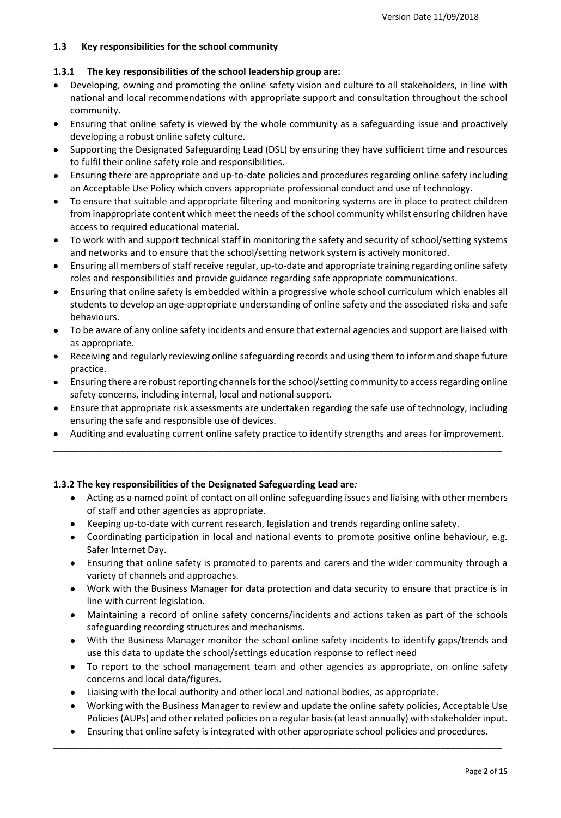# **1.3 Key responsibilities for the school community**

## **1.3.1 The key responsibilities of the school leadership group are:**

- Developing, owning and promoting the online safety vision and culture to all stakeholders, in line with national and local recommendations with appropriate support and consultation throughout the school community.
- Ensuring that online safety is viewed by the whole community as a safeguarding issue and proactively developing a robust online safety culture.
- Supporting the Designated Safeguarding Lead (DSL) by ensuring they have sufficient time and resources to fulfil their online safety role and responsibilities.
- Ensuring there are appropriate and up-to-date policies and procedures regarding online safety including an Acceptable Use Policy which covers appropriate professional conduct and use of technology.
- To ensure that suitable and appropriate filtering and monitoring systems are in place to protect children from inappropriate content which meet the needs of the school community whilst ensuring children have access to required educational material.
- To work with and support technical staff in monitoring the safety and security of school/setting systems and networks and to ensure that the school/setting network system is actively monitored.
- Ensuring all members of staff receive regular, up-to-date and appropriate training regarding online safety roles and responsibilities and provide guidance regarding safe appropriate communications.
- Ensuring that online safety is embedded within a progressive whole school curriculum which enables all students to develop an age-appropriate understanding of online safety and the associated risks and safe behaviours.
- To be aware of any online safety incidents and ensure that external agencies and support are liaised with as appropriate.
- Receiving and regularly reviewing online safeguarding records and using them to inform and shape future practice.
- Ensuring there are robust reporting channels for the school/setting community to access regarding online safety concerns, including internal, local and national support.
- Ensure that appropriate risk assessments are undertaken regarding the safe use of technology, including ensuring the safe and responsible use of devices.
- Auditing and evaluating current online safety practice to identify strengths and areas for improvement. \_\_\_\_\_\_\_\_\_\_\_\_\_\_\_\_\_\_\_\_\_\_\_\_\_\_\_\_\_\_\_\_\_\_\_\_\_\_\_\_\_\_\_\_\_\_\_\_\_\_\_\_\_\_\_\_\_\_\_\_\_\_\_\_\_\_\_\_\_\_\_\_\_\_\_\_\_\_\_\_\_\_\_\_\_\_\_

# **1.3.2 The key responsibilities of the Designated Safeguarding Lead are***:*

- Acting as a named point of contact on all online safeguarding issues and liaising with other members of staff and other agencies as appropriate.
- Keeping up-to-date with current research, legislation and trends regarding online safety.
- Coordinating participation in local and national events to promote positive online behaviour, e.g. Safer Internet Day.
- Ensuring that online safety is promoted to parents and carers and the wider community through a variety of channels and approaches.
- Work with the Business Manager for data protection and data security to ensure that practice is in line with current legislation.
- Maintaining a record of online safety concerns/incidents and actions taken as part of the schools safeguarding recording structures and mechanisms.
- With the Business Manager monitor the school online safety incidents to identify gaps/trends and use this data to update the school/settings education response to reflect need
- To report to the school management team and other agencies as appropriate, on online safety concerns and local data/figures.
- Liaising with the local authority and other local and national bodies, as appropriate.
- Working with the Business Manager to review and update the online safety policies, Acceptable Use Policies (AUPs) and other related policies on a regular basis (at least annually) with stakeholder input.
- Ensuring that online safety is integrated with other appropriate school policies and procedures. \_\_\_\_\_\_\_\_\_\_\_\_\_\_\_\_\_\_\_\_\_\_\_\_\_\_\_\_\_\_\_\_\_\_\_\_\_\_\_\_\_\_\_\_\_\_\_\_\_\_\_\_\_\_\_\_\_\_\_\_\_\_\_\_\_\_\_\_\_\_\_\_\_\_\_\_\_\_\_\_\_\_\_\_\_\_\_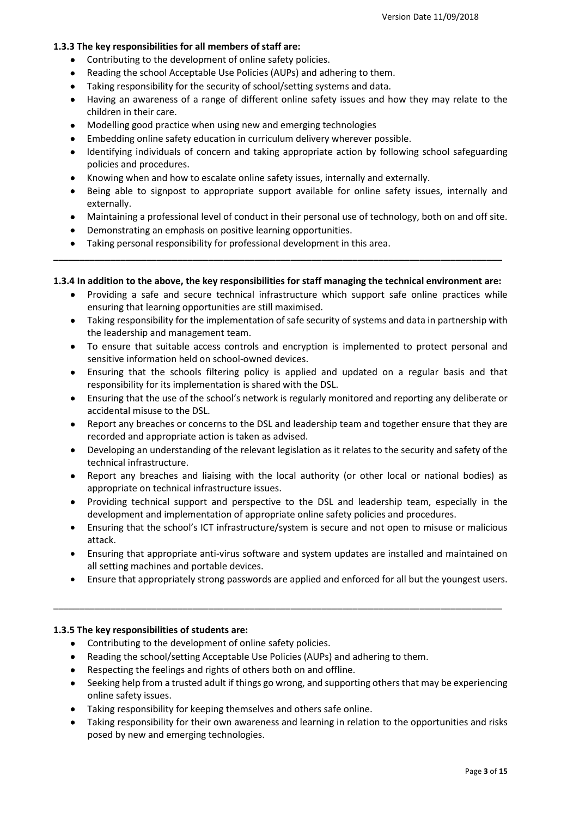## **1.3.3 The key responsibilities for all members of staff are:**

- Contributing to the development of online safety policies.
- Reading the school Acceptable Use Policies (AUPs) and adhering to them.
- Taking responsibility for the security of school/setting systems and data.
- Having an awareness of a range of different online safety issues and how they may relate to the children in their care.
- Modelling good practice when using new and emerging technologies
- Embedding online safety education in curriculum delivery wherever possible.
- Identifying individuals of concern and taking appropriate action by following school safeguarding policies and procedures.
- Knowing when and how to escalate online safety issues, internally and externally.
- Being able to signpost to appropriate support available for online safety issues, internally and externally.
- Maintaining a professional level of conduct in their personal use of technology, both on and off site.
- Demonstrating an emphasis on positive learning opportunities.
- Taking personal responsibility for professional development in this area.

## **1.3.4 In addition to the above, the key responsibilities for staff managing the technical environment are:**

**\_\_\_\_\_\_\_\_\_\_\_\_\_\_\_\_\_\_\_\_\_\_\_\_\_\_\_\_\_\_\_\_\_\_\_\_\_\_\_\_\_\_\_\_\_\_\_\_\_\_\_\_\_\_\_\_\_\_\_\_\_\_\_\_\_\_\_\_\_\_\_\_\_\_\_\_\_\_\_\_\_\_\_\_\_\_\_**

- Providing a safe and secure technical infrastructure which support safe online practices while ensuring that learning opportunities are still maximised.
- Taking responsibility for the implementation of safe security of systems and data in partnership with the leadership and management team.
- To ensure that suitable access controls and encryption is implemented to protect personal and sensitive information held on school-owned devices.
- Ensuring that the schools filtering policy is applied and updated on a regular basis and that responsibility for its implementation is shared with the DSL.
- Ensuring that the use of the school's network is regularly monitored and reporting any deliberate or accidental misuse to the DSL.
- Report any breaches or concerns to the DSL and leadership team and together ensure that they are recorded and appropriate action is taken as advised.
- Developing an understanding of the relevant legislation as it relates to the security and safety of the technical infrastructure.
- Report any breaches and liaising with the local authority (or other local or national bodies) as appropriate on technical infrastructure issues.
- Providing technical support and perspective to the DSL and leadership team, especially in the development and implementation of appropriate online safety policies and procedures.
- Ensuring that the school's ICT infrastructure/system is secure and not open to misuse or malicious attack.
- Ensuring that appropriate anti-virus software and system updates are installed and maintained on all setting machines and portable devices.
- Ensure that appropriately strong passwords are applied and enforced for all but the youngest users.

\_\_\_\_\_\_\_\_\_\_\_\_\_\_\_\_\_\_\_\_\_\_\_\_\_\_\_\_\_\_\_\_\_\_\_\_\_\_\_\_\_\_\_\_\_\_\_\_\_\_\_\_\_\_\_\_\_\_\_\_\_\_\_\_\_\_\_\_\_\_\_\_\_\_\_\_\_\_\_\_\_\_\_\_\_\_\_

#### **1.3.5 The key responsibilities of students are:**

- Contributing to the development of online safety policies.
- Reading the school/setting Acceptable Use Policies (AUPs) and adhering to them.
- Respecting the feelings and rights of others both on and offline.
- Seeking help from a trusted adult if things go wrong, and supporting others that may be experiencing online safety issues.
- Taking responsibility for keeping themselves and others safe online.
- Taking responsibility for their own awareness and learning in relation to the opportunities and risks posed by new and emerging technologies.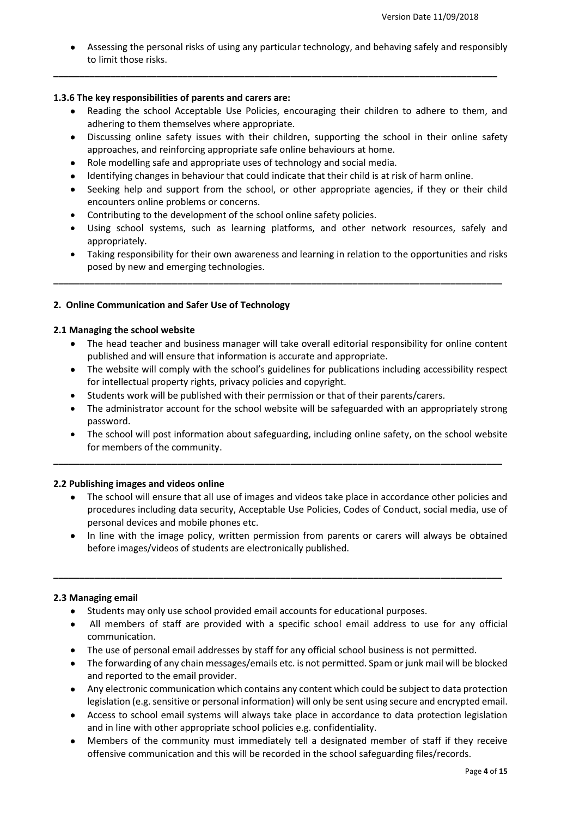Assessing the personal risks of using any particular technology, and behaving safely and responsibly to limit those risks.

**\_\_\_\_\_\_\_\_\_\_\_\_\_\_\_\_\_\_\_\_\_\_\_\_\_\_\_\_\_\_\_\_\_\_\_\_\_\_\_\_\_\_\_\_\_\_\_\_\_\_\_\_\_\_\_\_\_\_\_\_\_\_\_\_\_\_\_\_\_\_\_\_\_\_\_\_\_\_\_\_\_\_\_\_\_\_**

## **1.3.6 The key responsibilities of parents and carers are:**

- Reading the school Acceptable Use Policies, encouraging their children to adhere to them, and adhering to them themselves where appropriate.
- Discussing online safety issues with their children, supporting the school in their online safety approaches, and reinforcing appropriate safe online behaviours at home.
- Role modelling safe and appropriate uses of technology and social media.
- Identifying changes in behaviour that could indicate that their child is at risk of harm online.
- Seeking help and support from the school, or other appropriate agencies, if they or their child encounters online problems or concerns.
- Contributing to the development of the school online safety policies.
- Using school systems, such as learning platforms, and other network resources, safely and appropriately.
- Taking responsibility for their own awareness and learning in relation to the opportunities and risks posed by new and emerging technologies.

**\_\_\_\_\_\_\_\_\_\_\_\_\_\_\_\_\_\_\_\_\_\_\_\_\_\_\_\_\_\_\_\_\_\_\_\_\_\_\_\_\_\_\_\_\_\_\_\_\_\_\_\_\_\_\_\_\_\_\_\_\_\_\_\_\_\_\_\_\_\_\_\_\_\_\_\_\_\_\_\_\_\_\_\_\_\_\_**

# **2. Online Communication and Safer Use of Technology**

## **2.1 Managing the school website**

- The head teacher and business manager will take overall editorial responsibility for online content published and will ensure that information is accurate and appropriate.
- The website will comply with the school's guidelines for publications including accessibility respect for intellectual property rights, privacy policies and copyright.
- Students work will be published with their permission or that of their parents/carers.
- The administrator account for the school website will be safeguarded with an appropriately strong password.
- The school will post information about safeguarding, including online safety, on the school website for members of the community.

**\_\_\_\_\_\_\_\_\_\_\_\_\_\_\_\_\_\_\_\_\_\_\_\_\_\_\_\_\_\_\_\_\_\_\_\_\_\_\_\_\_\_\_\_\_\_\_\_\_\_\_\_\_\_\_\_\_\_\_\_\_\_\_\_\_\_\_\_\_\_\_\_\_\_\_\_\_\_\_\_\_\_\_\_\_\_\_**

# **2.2 Publishing images and videos online**

- The school will ensure that all use of images and videos take place in accordance other policies and procedures including data security, Acceptable Use Policies, Codes of Conduct, social media, use of personal devices and mobile phones etc.
- In line with the image policy, written permission from parents or carers will always be obtained before images/videos of students are electronically published.

**\_\_\_\_\_\_\_\_\_\_\_\_\_\_\_\_\_\_\_\_\_\_\_\_\_\_\_\_\_\_\_\_\_\_\_\_\_\_\_\_\_\_\_\_\_\_\_\_\_\_\_\_\_\_\_\_\_\_\_\_\_\_\_\_\_\_\_\_\_\_\_\_\_\_\_\_\_\_\_\_\_\_\_\_\_\_\_**

# **2.3 Managing email**

- Students may only use school provided email accounts for educational purposes.
- All members of staff are provided with a specific school email address to use for any official communication.
- The use of personal email addresses by staff for any official school business is not permitted.
- The forwarding of any chain messages/emails etc. is not permitted. Spam or junk mail will be blocked and reported to the email provider.
- Any electronic communication which contains any content which could be subject to data protection legislation (e.g. sensitive or personal information) will only be sent using secure and encrypted email.
- Access to school email systems will always take place in accordance to data protection legislation and in line with other appropriate school policies e.g. confidentiality.
- Members of the community must immediately tell a designated member of staff if they receive offensive communication and this will be recorded in the school safeguarding files/records.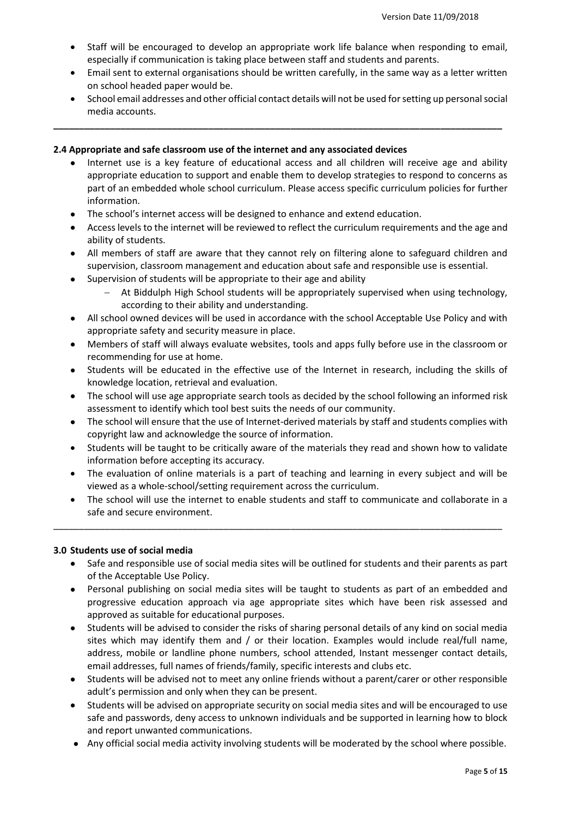- Staff will be encouraged to develop an appropriate work life balance when responding to email, especially if communication is taking place between staff and students and parents.
- Email sent to external organisations should be written carefully, in the same way as a letter written on school headed paper would be.
- School email addresses and other official contact details will not be used for setting up personal social media accounts.

## **2.4 Appropriate and safe classroom use of the internet and any associated devices**

- Internet use is a key feature of educational access and all children will receive age and ability appropriate education to support and enable them to develop strategies to respond to concerns as part of an embedded whole school curriculum. Please access specific curriculum policies for further information.
- The school's internet access will be designed to enhance and extend education.
- Access levels to the internet will be reviewed to reflect the curriculum requirements and the age and ability of students.
- All members of staff are aware that they cannot rely on filtering alone to safeguard children and supervision, classroom management and education about safe and responsible use is essential.
- Supervision of students will be appropriate to their age and ability
	- At Biddulph High School students will be appropriately supervised when using technology, according to their ability and understanding.
- All school owned devices will be used in accordance with the school Acceptable Use Policy and with appropriate safety and security measure in place.
- Members of staff will always evaluate websites, tools and apps fully before use in the classroom or recommending for use at home.
- Students will be educated in the effective use of the Internet in research, including the skills of knowledge location, retrieval and evaluation.
- The school will use age appropriate search tools as decided by the school following an informed risk assessment to identify which tool best suits the needs of our community.
- The school will ensure that the use of Internet-derived materials by staff and students complies with copyright law and acknowledge the source of information.
- Students will be taught to be critically aware of the materials they read and shown how to validate information before accepting its accuracy.
- The evaluation of online materials is a part of teaching and learning in every subject and will be viewed as a whole-school/setting requirement across the curriculum.
- The school will use the internet to enable students and staff to communicate and collaborate in a safe and secure environment.

\_\_\_\_\_\_\_\_\_\_\_\_\_\_\_\_\_\_\_\_\_\_\_\_\_\_\_\_\_\_\_\_\_\_\_\_\_\_\_\_\_\_\_\_\_\_\_\_\_\_\_\_\_\_\_\_\_\_\_\_\_\_\_\_\_\_\_\_\_\_\_\_\_\_\_\_\_\_\_\_\_\_\_\_\_\_\_

# **3.0 Students use of social media**

- Safe and responsible use of social media sites will be outlined for students and their parents as part of the Acceptable Use Policy.
- Personal publishing on social media sites will be taught to students as part of an embedded and progressive education approach via age appropriate sites which have been risk assessed and approved as suitable for educational purposes.
- Students will be advised to consider the risks of sharing personal details of any kind on social media sites which may identify them and / or their location. Examples would include real/full name, address, mobile or landline phone numbers, school attended, Instant messenger contact details, email addresses, full names of friends/family, specific interests and clubs etc.
- Students will be advised not to meet any online friends without a parent/carer or other responsible adult's permission and only when they can be present.
- Students will be advised on appropriate security on social media sites and will be encouraged to use safe and passwords, deny access to unknown individuals and be supported in learning how to block and report unwanted communications.
- Any official social media activity involving students will be moderated by the school where possible.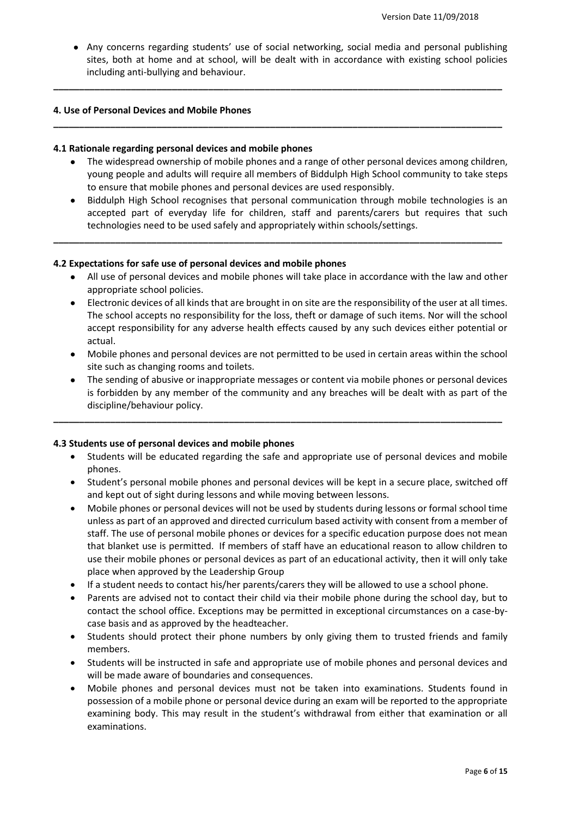Any concerns regarding students' use of social networking, social media and personal publishing sites, both at home and at school, will be dealt with in accordance with existing school policies including anti-bullying and behaviour.

**\_\_\_\_\_\_\_\_\_\_\_\_\_\_\_\_\_\_\_\_\_\_\_\_\_\_\_\_\_\_\_\_\_\_\_\_\_\_\_\_\_\_\_\_\_\_\_\_\_\_\_\_\_\_\_\_\_\_\_\_\_\_\_\_\_\_\_\_\_\_\_\_\_\_\_\_\_\_\_\_\_\_\_\_\_\_\_**

**\_\_\_\_\_\_\_\_\_\_\_\_\_\_\_\_\_\_\_\_\_\_\_\_\_\_\_\_\_\_\_\_\_\_\_\_\_\_\_\_\_\_\_\_\_\_\_\_\_\_\_\_\_\_\_\_\_\_\_\_\_\_\_\_\_\_\_\_\_\_\_\_\_\_\_\_\_\_\_\_\_\_\_\_\_\_\_**

## **4. Use of Personal Devices and Mobile Phones**

#### **4.1 Rationale regarding personal devices and mobile phones**

- The widespread ownership of mobile phones and a range of other personal devices among children, young people and adults will require all members of Biddulph High School community to take steps to ensure that mobile phones and personal devices are used responsibly.
- Biddulph High School recognises that personal communication through mobile technologies is an accepted part of everyday life for children, staff and parents/carers but requires that such technologies need to be used safely and appropriately within schools/settings.

**\_\_\_\_\_\_\_\_\_\_\_\_\_\_\_\_\_\_\_\_\_\_\_\_\_\_\_\_\_\_\_\_\_\_\_\_\_\_\_\_\_\_\_\_\_\_\_\_\_\_\_\_\_\_\_\_\_\_\_\_\_\_\_\_\_\_\_\_\_\_\_\_\_\_\_\_\_\_\_\_\_\_\_\_\_\_\_**

## **4.2 Expectations for safe use of personal devices and mobile phones**

- All use of personal devices and mobile phones will take place in accordance with the law and other appropriate school policies.
- Electronic devices of all kinds that are brought in on site are the responsibility of the user at all times. The school accepts no responsibility for the loss, theft or damage of such items. Nor will the school accept responsibility for any adverse health effects caused by any such devices either potential or actual.
- Mobile phones and personal devices are not permitted to be used in certain areas within the school site such as changing rooms and toilets.
- The sending of abusive or inappropriate messages or content via mobile phones or personal devices is forbidden by any member of the community and any breaches will be dealt with as part of the discipline/behaviour policy.

**\_\_\_\_\_\_\_\_\_\_\_\_\_\_\_\_\_\_\_\_\_\_\_\_\_\_\_\_\_\_\_\_\_\_\_\_\_\_\_\_\_\_\_\_\_\_\_\_\_\_\_\_\_\_\_\_\_\_\_\_\_\_\_\_\_\_\_\_\_\_\_\_\_\_\_\_\_\_\_\_\_\_\_\_\_\_\_**

# **4.3 Students use of personal devices and mobile phones**

- Students will be educated regarding the safe and appropriate use of personal devices and mobile phones.
- Student's personal mobile phones and personal devices will be kept in a secure place, switched off and kept out of sight during lessons and while moving between lessons.
- Mobile phones or personal devices will not be used by students during lessons or formal school time unless as part of an approved and directed curriculum based activity with consent from a member of staff. The use of personal mobile phones or devices for a specific education purpose does not mean that blanket use is permitted. If members of staff have an educational reason to allow children to use their mobile phones or personal devices as part of an educational activity, then it will only take place when approved by the Leadership Group
- If a student needs to contact his/her parents/carers they will be allowed to use a school phone.
- Parents are advised not to contact their child via their mobile phone during the school day, but to contact the school office. Exceptions may be permitted in exceptional circumstances on a case-bycase basis and as approved by the headteacher.
- Students should protect their phone numbers by only giving them to trusted friends and family members.
- Students will be instructed in safe and appropriate use of mobile phones and personal devices and will be made aware of boundaries and consequences.
- Mobile phones and personal devices must not be taken into examinations. Students found in possession of a mobile phone or personal device during an exam will be reported to the appropriate examining body. This may result in the student's withdrawal from either that examination or all examinations.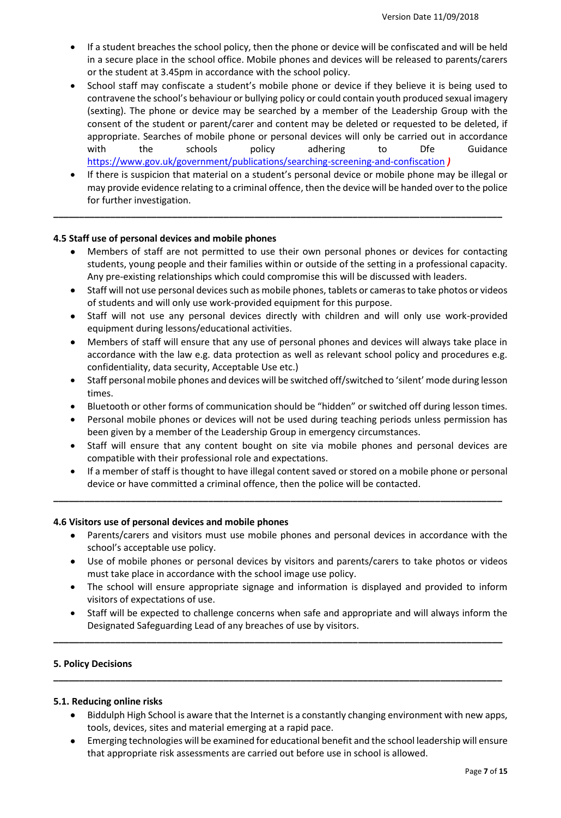- If a student breaches the school policy, then the phone or device will be confiscated and will be held in a secure place in the school office. Mobile phones and devices will be released to parents/carers or the student at 3.45pm in accordance with the school policy.
- School staff may confiscate a student's mobile phone or device if they believe it is being used to contravene the school's behaviour or bullying policy or could contain youth produced sexual imagery (sexting). The phone or device may be searched by a member of the Leadership Group with the consent of the student or parent/carer and content may be deleted or requested to be deleted, if appropriate. Searches of mobile phone or personal devices will only be carried out in accordance with the schools policy adhering to Dfe Guidance <https://www.gov.uk/government/publications/searching-screening-and-confiscation> *)*
- If there is suspicion that material on a student's personal device or mobile phone may be illegal or may provide evidence relating to a criminal offence, then the device will be handed over to the police for further investigation.

## **4.5 Staff use of personal devices and mobile phones**

- Members of staff are not permitted to use their own personal phones or devices for contacting students, young people and their families within or outside of the setting in a professional capacity. Any pre-existing relationships which could compromise this will be discussed with leaders.
- Staff will not use personal devices such as mobile phones, tablets or cameras to take photos or videos of students and will only use work-provided equipment for this purpose.
- Staff will not use any personal devices directly with children and will only use work-provided equipment during lessons/educational activities.
- Members of staff will ensure that any use of personal phones and devices will always take place in accordance with the law e.g. data protection as well as relevant school policy and procedures e.g. confidentiality, data security, Acceptable Use etc.)
- Staff personal mobile phones and devices will be switched off/switched to 'silent' mode during lesson times.
- Bluetooth or other forms of communication should be "hidden" or switched off during lesson times.
- Personal mobile phones or devices will not be used during teaching periods unless permission has been given by a member of the Leadership Group in emergency circumstances.
- Staff will ensure that any content bought on site via mobile phones and personal devices are compatible with their professional role and expectations.
- If a member of staff is thought to have illegal content saved or stored on a mobile phone or personal device or have committed a criminal offence, then the police will be contacted.

**\_\_\_\_\_\_\_\_\_\_\_\_\_\_\_\_\_\_\_\_\_\_\_\_\_\_\_\_\_\_\_\_\_\_\_\_\_\_\_\_\_\_\_\_\_\_\_\_\_\_\_\_\_\_\_\_\_\_\_\_\_\_\_\_\_\_\_\_\_\_\_\_\_\_\_\_\_\_\_\_\_\_\_\_\_\_\_**

#### **4.6 Visitors use of personal devices and mobile phones**

- Parents/carers and visitors must use mobile phones and personal devices in accordance with the school's acceptable use policy.
- Use of mobile phones or personal devices by visitors and parents/carers to take photos or videos must take place in accordance with the school image use policy.
- The school will ensure appropriate signage and information is displayed and provided to inform visitors of expectations of use.
- Staff will be expected to challenge concerns when safe and appropriate and will always inform the Designated Safeguarding Lead of any breaches of use by visitors.

**\_\_\_\_\_\_\_\_\_\_\_\_\_\_\_\_\_\_\_\_\_\_\_\_\_\_\_\_\_\_\_\_\_\_\_\_\_\_\_\_\_\_\_\_\_\_\_\_\_\_\_\_\_\_\_\_\_\_\_\_\_\_\_\_\_\_\_\_\_\_\_\_\_\_\_\_\_\_\_\_\_\_\_\_\_\_\_**

**\_\_\_\_\_\_\_\_\_\_\_\_\_\_\_\_\_\_\_\_\_\_\_\_\_\_\_\_\_\_\_\_\_\_\_\_\_\_\_\_\_\_\_\_\_\_\_\_\_\_\_\_\_\_\_\_\_\_\_\_\_\_\_\_\_\_\_\_\_\_\_\_\_\_\_\_\_\_\_\_\_\_\_\_\_\_\_**

#### **5. Policy Decisions**

## **5.1. Reducing online risks**

- Biddulph High School is aware that the Internet is a constantly changing environment with new apps, tools, devices, sites and material emerging at a rapid pace.
- Emerging technologies will be examined for educational benefit and the school leadership will ensure that appropriate risk assessments are carried out before use in school is allowed.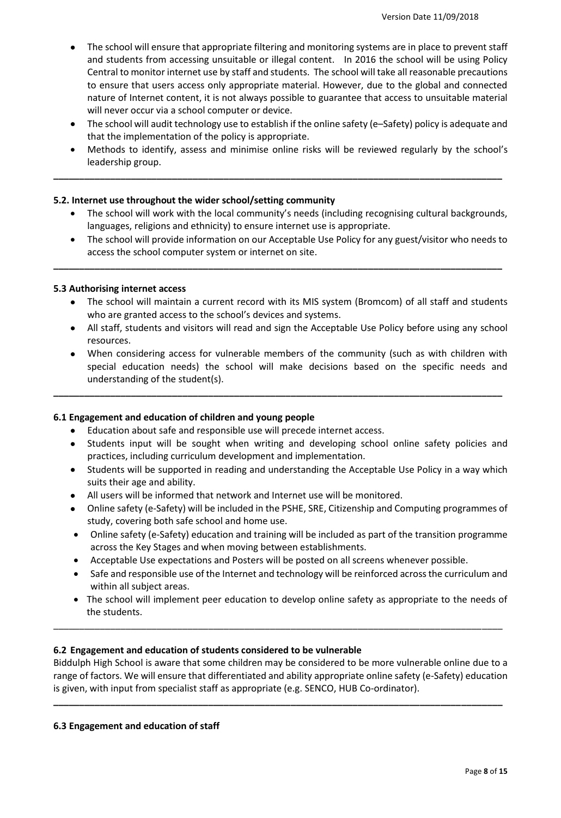- The school will ensure that appropriate filtering and monitoring systems are in place to prevent staff and students from accessing unsuitable or illegal content. In 2016 the school will be using Policy Central to monitor internet use by staff and students. The school will take all reasonable precautions to ensure that users access only appropriate material. However, due to the global and connected nature of Internet content, it is not always possible to guarantee that access to unsuitable material will never occur via a school computer or device.
- The school will audit technology use to establish if the online safety (e–Safety) policy is adequate and that the implementation of the policy is appropriate.
- Methods to identify, assess and minimise online risks will be reviewed regularly by the school's leadership group.

## **5.2. Internet use throughout the wider school/setting community**

- The school will work with the local community's needs (including recognising cultural backgrounds, languages, religions and ethnicity) to ensure internet use is appropriate.
- The school will provide information on our Acceptable Use Policy for any guest/visitor who needs to access the school computer system or internet on site.

**\_\_\_\_\_\_\_\_\_\_\_\_\_\_\_\_\_\_\_\_\_\_\_\_\_\_\_\_\_\_\_\_\_\_\_\_\_\_\_\_\_\_\_\_\_\_\_\_\_\_\_\_\_\_\_\_\_\_\_\_\_\_\_\_\_\_\_\_\_\_\_\_\_\_\_\_\_\_\_\_\_\_\_\_\_\_\_**

## **5.3 Authorising internet access**

- The school will maintain a current record with its MIS system (Bromcom) of all staff and students who are granted access to the school's devices and systems.
- All staff, students and visitors will read and sign the Acceptable Use Policy before using any school resources.
- When considering access for vulnerable members of the community (such as with children with special education needs) the school will make decisions based on the specific needs and understanding of the student(s).

**\_\_\_\_\_\_\_\_\_\_\_\_\_\_\_\_\_\_\_\_\_\_\_\_\_\_\_\_\_\_\_\_\_\_\_\_\_\_\_\_\_\_\_\_\_\_\_\_\_\_\_\_\_\_\_\_\_\_\_\_\_\_\_\_\_\_\_\_\_\_\_\_\_\_\_\_\_\_\_\_\_\_\_\_\_\_\_**

#### **6.1 Engagement and education of children and young people**

- Education about safe and responsible use will precede internet access.
- Students input will be sought when writing and developing school online safety policies and practices, including curriculum development and implementation.
- Students will be supported in reading and understanding the Acceptable Use Policy in a way which suits their age and ability.
- All users will be informed that network and Internet use will be monitored.
- Online safety (e-Safety) will be included in the PSHE, SRE, Citizenship and Computing programmes of study, covering both safe school and home use.
- Online safety (e-Safety) education and training will be included as part of the transition programme across the Key Stages and when moving between establishments.
- Acceptable Use expectations and Posters will be posted on all screens whenever possible.
- Safe and responsible use of the Internet and technology will be reinforced across the curriculum and within all subject areas.
- The school will implement peer education to develop online safety as appropriate to the needs of the students.

#### **6.2 Engagement and education of students considered to be vulnerable**

Biddulph High School is aware that some children may be considered to be more vulnerable online due to a range of factors. We will ensure that differentiated and ability appropriate online safety (e-Safety) education is given, with input from specialist staff as appropriate (e.g. SENCO, HUB Co-ordinator).

**\_\_\_\_\_\_\_\_\_\_\_\_\_\_\_\_\_\_\_\_\_\_\_\_\_\_\_\_\_\_\_\_\_\_\_\_\_\_\_\_\_\_\_\_\_\_\_\_\_\_\_\_\_\_\_\_\_\_\_\_\_\_\_\_\_\_\_\_\_\_\_\_\_\_\_\_\_\_\_\_\_\_\_\_\_\_\_**

\_\_\_\_\_\_\_\_\_\_\_\_\_\_\_\_\_\_\_\_\_\_\_\_\_\_\_\_\_\_\_\_\_\_\_\_\_\_\_\_\_\_\_\_\_\_\_\_\_\_\_\_\_\_\_\_\_\_\_\_\_\_\_\_\_\_\_\_\_\_\_\_\_\_\_\_\_\_\_\_\_\_\_\_\_\_\_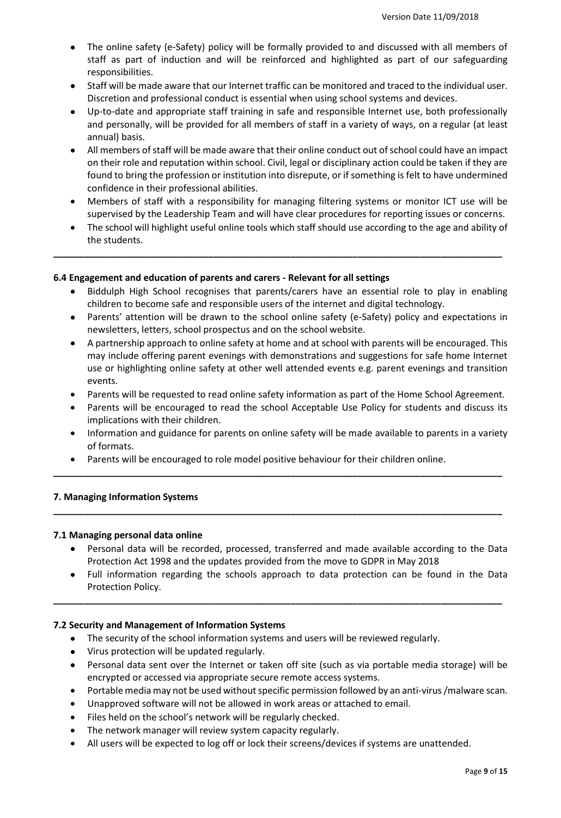- The online safety (e-Safety) policy will be formally provided to and discussed with all members of staff as part of induction and will be reinforced and highlighted as part of our safeguarding responsibilities.
- Staff will be made aware that our Internet traffic can be monitored and traced to the individual user. Discretion and professional conduct is essential when using school systems and devices.
- Up-to-date and appropriate staff training in safe and responsible Internet use, both professionally and personally, will be provided for all members of staff in a variety of ways, on a regular (at least annual) basis.
- All members of staff will be made aware that their online conduct out of school could have an impact on their role and reputation within school. Civil, legal or disciplinary action could be taken if they are found to bring the profession or institution into disrepute, or if something is felt to have undermined confidence in their professional abilities.
- Members of staff with a responsibility for managing filtering systems or monitor ICT use will be supervised by the Leadership Team and will have clear procedures for reporting issues or concerns.
- The school will highlight useful online tools which staff should use according to the age and ability of the students.

# **6.4 Engagement and education of parents and carers - Relevant for all settings**

- Biddulph High School recognises that parents/carers have an essential role to play in enabling children to become safe and responsible users of the internet and digital technology.
- Parents' attention will be drawn to the school online safety (e-Safety) policy and expectations in newsletters, letters, school prospectus and on the school website.
- A partnership approach to online safety at home and at school with parents will be encouraged. This may include offering parent evenings with demonstrations and suggestions for safe home Internet use or highlighting online safety at other well attended events e.g. parent evenings and transition events.
- Parents will be requested to read online safety information as part of the Home School Agreement.
- Parents will be encouraged to read the school Acceptable Use Policy for students and discuss its implications with their children.
- Information and guidance for parents on online safety will be made available to parents in a variety of formats.

**\_\_\_\_\_\_\_\_\_\_\_\_\_\_\_\_\_\_\_\_\_\_\_\_\_\_\_\_\_\_\_\_\_\_\_\_\_\_\_\_\_\_\_\_\_\_\_\_\_\_\_\_\_\_\_\_\_\_\_\_\_\_\_\_\_\_\_\_\_\_\_\_\_\_\_\_\_\_\_\_\_\_\_\_\_\_\_**

**\_\_\_\_\_\_\_\_\_\_\_\_\_\_\_\_\_\_\_\_\_\_\_\_\_\_\_\_\_\_\_\_\_\_\_\_\_\_\_\_\_\_\_\_\_\_\_\_\_\_\_\_\_\_\_\_\_\_\_\_\_\_\_\_\_\_\_\_\_\_\_\_\_\_\_\_\_\_\_\_\_\_\_\_\_\_\_**

Parents will be encouraged to role model positive behaviour for their children online.

# **7. Managing Information Systems**

# **7.1 Managing personal data online**

- Personal data will be recorded, processed, transferred and made available according to the Data Protection Act 1998 and the updates provided from the move to GDPR in May 2018
- Full information regarding the schools approach to data protection can be found in the Data Protection Policy.

**\_\_\_\_\_\_\_\_\_\_\_\_\_\_\_\_\_\_\_\_\_\_\_\_\_\_\_\_\_\_\_\_\_\_\_\_\_\_\_\_\_\_\_\_\_\_\_\_\_\_\_\_\_\_\_\_\_\_\_\_\_\_\_\_\_\_\_\_\_\_\_\_\_\_\_\_\_\_\_\_\_\_\_\_\_\_\_**

# **7.2 Security and Management of Information Systems**

- The security of the school information systems and users will be reviewed regularly.
- Virus protection will be updated regularly.
- Personal data sent over the Internet or taken off site (such as via portable media storage) will be encrypted or accessed via appropriate secure remote access systems.
- Portable media may not be used without specific permission followed by an anti-virus /malware scan.
- Unapproved software will not be allowed in work areas or attached to email.
- Files held on the school's network will be regularly checked.
- The network manager will review system capacity regularly.
- All users will be expected to log off or lock their screens/devices if systems are unattended.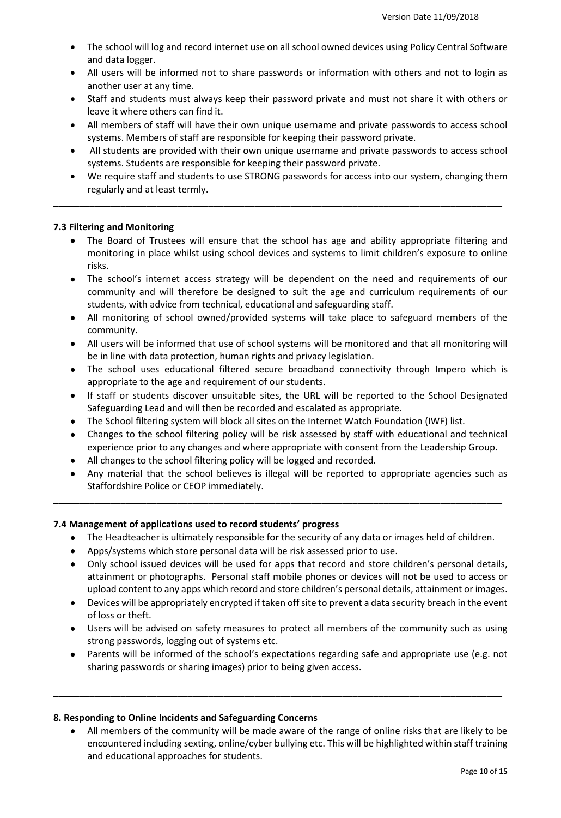- The school will log and record internet use on all school owned devices using Policy Central Software and data logger.
- All users will be informed not to share passwords or information with others and not to login as another user at any time.
- Staff and students must always keep their password private and must not share it with others or leave it where others can find it.
- All members of staff will have their own unique username and private passwords to access school systems. Members of staff are responsible for keeping their password private.
- All students are provided with their own unique username and private passwords to access school systems. Students are responsible for keeping their password private.
- We require staff and students to use STRONG passwords for access into our system, changing them regularly and at least termly.

## **7.3 Filtering and Monitoring**

- The Board of Trustees will ensure that the school has age and ability appropriate filtering and monitoring in place whilst using school devices and systems to limit children's exposure to online risks.
- The school's internet access strategy will be dependent on the need and requirements of our community and will therefore be designed to suit the age and curriculum requirements of our students, with advice from technical, educational and safeguarding staff.
- All monitoring of school owned/provided systems will take place to safeguard members of the community.
- All users will be informed that use of school systems will be monitored and that all monitoring will be in line with data protection, human rights and privacy legislation.
- The school uses educational filtered secure broadband connectivity through Impero which is appropriate to the age and requirement of our students.
- If staff or students discover unsuitable sites, the URL will be reported to the School Designated Safeguarding Lead and will then be recorded and escalated as appropriate.
- The School filtering system will block all sites on the Internet Watch Foundation (IWF) list.
- Changes to the school filtering policy will be risk assessed by staff with educational and technical experience prior to any changes and where appropriate with consent from the Leadership Group.
- All changes to the school filtering policy will be logged and recorded.
- Any material that the school believes is illegal will be reported to appropriate agencies such as Staffordshire Police or CEOP immediately.

#### **7.4 Management of applications used to record students' progress**

• The Headteacher is ultimately responsible for the security of any data or images held of children.

**\_\_\_\_\_\_\_\_\_\_\_\_\_\_\_\_\_\_\_\_\_\_\_\_\_\_\_\_\_\_\_\_\_\_\_\_\_\_\_\_\_\_\_\_\_\_\_\_\_\_\_\_\_\_\_\_\_\_\_\_\_\_\_\_\_\_\_\_\_\_\_\_\_\_\_\_\_\_\_\_\_\_\_\_\_\_\_**

- Apps/systems which store personal data will be risk assessed prior to use.
- Only school issued devices will be used for apps that record and store children's personal details, attainment or photographs. Personal staff mobile phones or devices will not be used to access or upload content to any apps which record and store children's personal details, attainment or images.
- Devices will be appropriately encrypted if taken off site to prevent a data security breach in the event of loss or theft.
- Users will be advised on safety measures to protect all members of the community such as using strong passwords, logging out of systems etc.
- Parents will be informed of the school's expectations regarding safe and appropriate use (e.g. not sharing passwords or sharing images) prior to being given access.

**\_\_\_\_\_\_\_\_\_\_\_\_\_\_\_\_\_\_\_\_\_\_\_\_\_\_\_\_\_\_\_\_\_\_\_\_\_\_\_\_\_\_\_\_\_\_\_\_\_\_\_\_\_\_\_\_\_\_\_\_\_\_\_\_\_\_\_\_\_\_\_\_\_\_\_\_\_\_\_\_\_\_\_\_\_\_\_**

#### **8. Responding to Online Incidents and Safeguarding Concerns**

 All members of the community will be made aware of the range of online risks that are likely to be encountered including sexting, online/cyber bullying etc. This will be highlighted within staff training and educational approaches for students.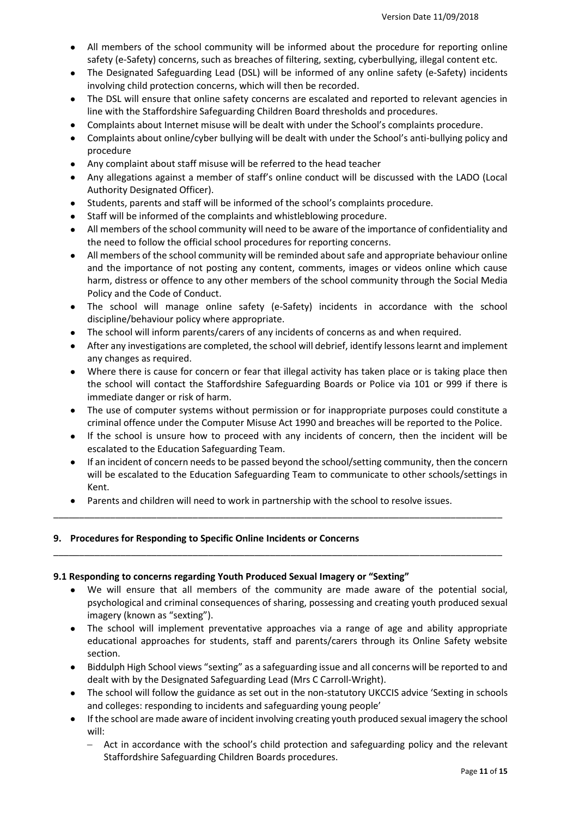- All members of the school community will be informed about the procedure for reporting online safety (e-Safety) concerns, such as breaches of filtering, sexting, cyberbullying, illegal content etc.
- The Designated Safeguarding Lead (DSL) will be informed of any online safety (e-Safety) incidents involving child protection concerns, which will then be recorded.
- The DSL will ensure that online safety concerns are escalated and reported to relevant agencies in line with the Staffordshire Safeguarding Children Board thresholds and procedures.
- Complaints about Internet misuse will be dealt with under the School's complaints procedure.
- Complaints about online/cyber bullying will be dealt with under the School's anti-bullying policy and procedure
- Any complaint about staff misuse will be referred to the head teacher
- Any allegations against a member of staff's online conduct will be discussed with the LADO (Local Authority Designated Officer).
- Students, parents and staff will be informed of the school's complaints procedure.
- Staff will be informed of the complaints and whistleblowing procedure.
- All members of the school community will need to be aware of the importance of confidentiality and the need to follow the official school procedures for reporting concerns.
- All members of the school community will be reminded about safe and appropriate behaviour online and the importance of not posting any content, comments, images or videos online which cause harm, distress or offence to any other members of the school community through the Social Media Policy and the Code of Conduct.
- The school will manage online safety (e-Safety) incidents in accordance with the school discipline/behaviour policy where appropriate.
- The school will inform parents/carers of any incidents of concerns as and when required.
- After any investigations are completed, the school will debrief, identify lessons learnt and implement any changes as required.
- Where there is cause for concern or fear that illegal activity has taken place or is taking place then the school will contact the Staffordshire Safeguarding Boards or Police via 101 or 999 if there is immediate danger or risk of harm.
- The use of computer systems without permission or for inappropriate purposes could constitute a criminal offence under the Computer Misuse Act 1990 and breaches will be reported to the Police.
- If the school is unsure how to proceed with any incidents of concern, then the incident will be escalated to the Education Safeguarding Team.
- If an incident of concern needs to be passed beyond the school/setting community, then the concern will be escalated to the Education Safeguarding Team to communicate to other schools/settings in Kent.
- Parents and children will need to work in partnership with the school to resolve issues.

\_\_\_\_\_\_\_\_\_\_\_\_\_\_\_\_\_\_\_\_\_\_\_\_\_\_\_\_\_\_\_\_\_\_\_\_\_\_\_\_\_\_\_\_\_\_\_\_\_\_\_\_\_\_\_\_\_\_\_\_\_\_\_\_\_\_\_\_\_\_\_\_\_\_\_\_\_\_\_\_\_\_\_\_\_\_\_

# **9. Procedures for Responding to Specific Online Incidents or Concerns**

#### **9.1 Responding to concerns regarding Youth Produced Sexual Imagery or "Sexting"**

- We will ensure that all members of the community are made aware of the potential social, psychological and criminal consequences of sharing, possessing and creating youth produced sexual imagery (known as "sexting").
- The school will implement preventative approaches via a range of age and ability appropriate educational approaches for students, staff and parents/carers through its Online Safety website section.
- Biddulph High School views "sexting" as a safeguarding issue and all concerns will be reported to and dealt with by the Designated Safeguarding Lead (Mrs C Carroll-Wright).
- The school will follow the guidance as set out in the non-statutory UKCCIS advice 'Sexting in schools and colleges: responding to incidents and safeguarding young people'
- If the school are made aware of incident involving creating youth produced sexual imagery the school will:
	- Act in accordance with the school's child protection and safeguarding policy and the relevant Staffordshire Safeguarding Children Boards procedures.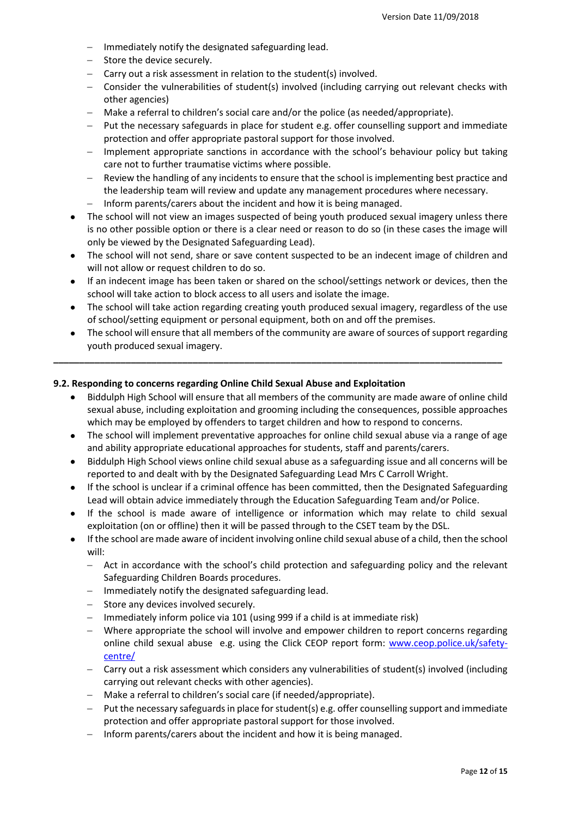- Immediately notify the designated safeguarding lead.
- Store the device securely.
- $-$  Carry out a risk assessment in relation to the student(s) involved.
- Consider the vulnerabilities of student(s) involved (including carrying out relevant checks with other agencies)
- Make a referral to children's social care and/or the police (as needed/appropriate).
- Put the necessary safeguards in place for student e.g. offer counselling support and immediate protection and offer appropriate pastoral support for those involved.
- Implement appropriate sanctions in accordance with the school's behaviour policy but taking care not to further traumatise victims where possible.
- Review the handling of any incidents to ensure that the school is implementing best practice and the leadership team will review and update any management procedures where necessary.
- $-$  Inform parents/carers about the incident and how it is being managed.
- The school will not view an images suspected of being youth produced sexual imagery unless there is no other possible option or there is a clear need or reason to do so (in these cases the image will only be viewed by the Designated Safeguarding Lead).
- The school will not send, share or save content suspected to be an indecent image of children and will not allow or request children to do so.
- If an indecent image has been taken or shared on the school/settings network or devices, then the school will take action to block access to all users and isolate the image.
- The school will take action regarding creating youth produced sexual imagery, regardless of the use of school/setting equipment or personal equipment, both on and off the premises.
- The school will ensure that all members of the community are aware of sources of support regarding youth produced sexual imagery.

## **9.2. Responding to concerns regarding Online Child Sexual Abuse and Exploitation**

- Biddulph High School will ensure that all members of the community are made aware of online child sexual abuse, including exploitation and grooming including the consequences, possible approaches which may be employed by offenders to target children and how to respond to concerns.
- The school will implement preventative approaches for online child sexual abuse via a range of age and ability appropriate educational approaches for students, staff and parents/carers.
- Biddulph High School views online child sexual abuse as a safeguarding issue and all concerns will be reported to and dealt with by the Designated Safeguarding Lead Mrs C Carroll Wright.
- If the school is unclear if a criminal offence has been committed, then the Designated Safeguarding Lead will obtain advice immediately through the Education Safeguarding Team and/or Police.
- If the school is made aware of intelligence or information which may relate to child sexual exploitation (on or offline) then it will be passed through to the CSET team by the DSL.
- If the school are made aware of incident involving online child sexual abuse of a child, then the school will:
	- Act in accordance with the school's child protection and safeguarding policy and the relevant Safeguarding Children Boards procedures.
	- $-$  Immediately notify the designated safeguarding lead.
	- Store any devices involved securely.
	- Immediately inform police via 101 (using 999 if a child is at immediate risk)
	- Where appropriate the school will involve and empower children to report concerns regarding online child sexual abuse e.g. using the Click CEOP report form: [www.ceop.police.uk/safety](http://www.ceop.police.uk/safety-centre/)[centre/](http://www.ceop.police.uk/safety-centre/)
	- Carry out a risk assessment which considers any vulnerabilities of student(s) involved (including carrying out relevant checks with other agencies).
	- Make a referral to children's social care (if needed/appropriate).
	- Put the necessary safeguards in place for student(s) e.g. offer counselling support and immediate protection and offer appropriate pastoral support for those involved.
	- $-$  Inform parents/carers about the incident and how it is being managed.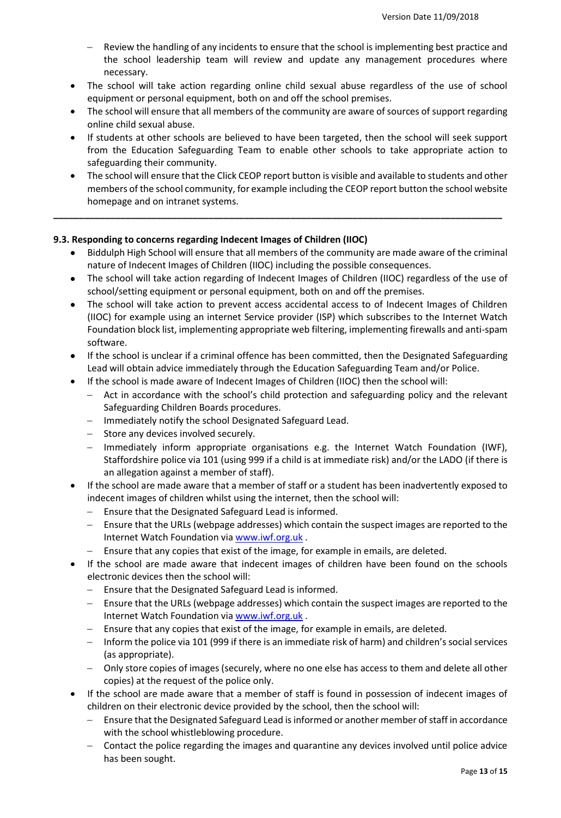- Review the handling of any incidents to ensure that the school is implementing best practice and the school leadership team will review and update any management procedures where necessary.
- The school will take action regarding online child sexual abuse regardless of the use of school equipment or personal equipment, both on and off the school premises.
- The school will ensure that all members of the community are aware of sources of support regarding online child sexual abuse.
- If students at other schools are believed to have been targeted, then the school will seek support from the Education Safeguarding Team to enable other schools to take appropriate action to safeguarding their community.
- The school will ensure that the Click CEOP report button is visible and available to students and other members of the school community, for example including the CEOP report button the school website homepage and on intranet systems.

# **9.3. Responding to concerns regarding Indecent Images of Children (IIOC)**

- Biddulph High School will ensure that all members of the community are made aware of the criminal nature of Indecent Images of Children (IIOC) including the possible consequences.
- The school will take action regarding of Indecent Images of Children (IIOC) regardless of the use of school/setting equipment or personal equipment, both on and off the premises.
- The school will take action to prevent access accidental access to of Indecent Images of Children (IIOC) for example using an internet Service provider (ISP) which subscribes to the Internet Watch Foundation block list, implementing appropriate web filtering, implementing firewalls and anti-spam software.
- If the school is unclear if a criminal offence has been committed, then the Designated Safeguarding Lead will obtain advice immediately through the Education Safeguarding Team and/or Police.
- If the school is made aware of Indecent Images of Children (IIOC) then the school will:
	- Act in accordance with the school's child protection and safeguarding policy and the relevant Safeguarding Children Boards procedures.
	- Immediately notify the school Designated Safeguard Lead.
	- $-$  Store any devices involved securely.
	- Immediately inform appropriate organisations e.g. the Internet Watch Foundation (IWF), Staffordshire police via 101 (using 999 if a child is at immediate risk) and/or the LADO (if there is an allegation against a member of staff).
- If the school are made aware that a member of staff or a student has been inadvertently exposed to indecent images of children whilst using the internet, then the school will:
	- Ensure that the Designated Safeguard Lead is informed.
	- Ensure that the URLs (webpage addresses) which contain the suspect images are reported to the Internet Watch Foundation via [www.iwf.org.uk](https://www.iwf.org.uk/) .
	- Ensure that any copies that exist of the image, for example in emails, are deleted.
- If the school are made aware that indecent images of children have been found on the schools electronic devices then the school will:
	- Ensure that the Designated Safeguard Lead is informed.
	- Ensure that the URLs (webpage addresses) which contain the suspect images are reported to the Internet Watch Foundation via [www.iwf.org.uk](https://www.iwf.org.uk/).
	- Ensure that any copies that exist of the image, for example in emails, are deleted.
	- Inform the police via 101 (999 if there is an immediate risk of harm) and children's social services (as appropriate).
	- Only store copies of images (securely, where no one else has access to them and delete all other copies) at the request of the police only.
- If the school are made aware that a member of staff is found in possession of indecent images of children on their electronic device provided by the school, then the school will:
	- Ensure that the Designated Safeguard Lead is informed or another member of staff in accordance with the school whistleblowing procedure.
	- Contact the police regarding the images and quarantine any devices involved until police advice has been sought.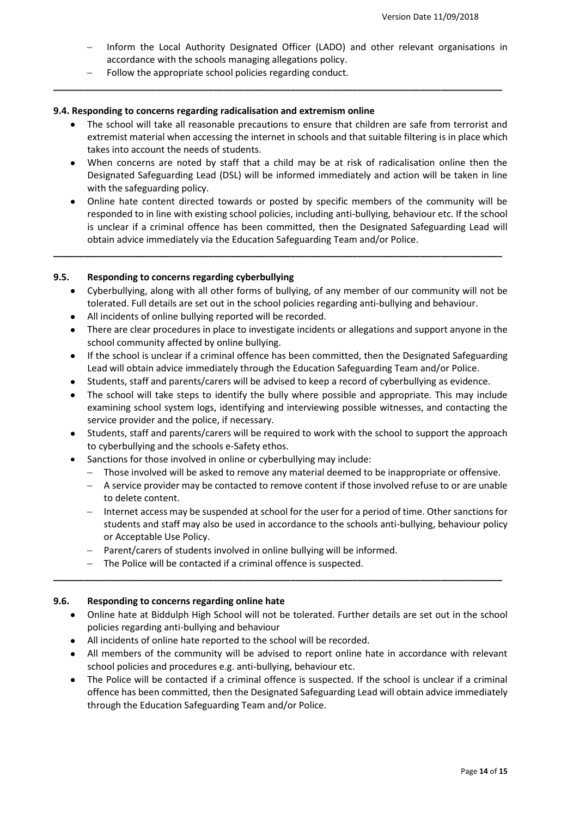- Inform the Local Authority Designated Officer (LADO) and other relevant organisations in accordance with the schools managing allegations policy.
- Follow the appropriate school policies regarding conduct.

## **9.4. Responding to concerns regarding radicalisation and extremism online**

 The school will take all reasonable precautions to ensure that children are safe from terrorist and extremist material when accessing the internet in schools and that suitable filtering is in place which takes into account the needs of students.

**\_\_\_\_\_\_\_\_\_\_\_\_\_\_\_\_\_\_\_\_\_\_\_\_\_\_\_\_\_\_\_\_\_\_\_\_\_\_\_\_\_\_\_\_\_\_\_\_\_\_\_\_\_\_\_\_\_\_\_\_\_\_\_\_\_\_\_\_\_\_\_\_\_\_\_\_\_\_\_\_\_\_\_\_\_\_\_**

- When concerns are noted by staff that a child may be at risk of radicalisation online then the Designated Safeguarding Lead (DSL) will be informed immediately and action will be taken in line with the safeguarding policy.
- Online hate content directed towards or posted by specific members of the community will be responded to in line with existing school policies, including anti-bullying, behaviour etc. If the school is unclear if a criminal offence has been committed, then the Designated Safeguarding Lead will obtain advice immediately via the Education Safeguarding Team and/or Police.

**\_\_\_\_\_\_\_\_\_\_\_\_\_\_\_\_\_\_\_\_\_\_\_\_\_\_\_\_\_\_\_\_\_\_\_\_\_\_\_\_\_\_\_\_\_\_\_\_\_\_\_\_\_\_\_\_\_\_\_\_\_\_\_\_\_\_\_\_\_\_\_\_\_\_\_\_\_\_\_\_\_\_\_\_\_\_\_**

# **9.5. Responding to concerns regarding cyberbullying**

- Cyberbullying, along with all other forms of bullying, of any member of our community will not be tolerated. Full details are set out in the school policies regarding anti-bullying and behaviour.
- All incidents of online bullying reported will be recorded.
- There are clear procedures in place to investigate incidents or allegations and support anyone in the school community affected by online bullying.
- If the school is unclear if a criminal offence has been committed, then the Designated Safeguarding Lead will obtain advice immediately through the Education Safeguarding Team and/or Police.
- Students, staff and parents/carers will be advised to keep a record of cyberbullying as evidence.
- The school will take steps to identify the bully where possible and appropriate. This may include examining school system logs, identifying and interviewing possible witnesses, and contacting the service provider and the police, if necessary.
- Students, staff and parents/carers will be required to work with the school to support the approach to cyberbullying and the schools e-Safety ethos.
- Sanctions for those involved in online or cyberbullying may include:
	- Those involved will be asked to remove any material deemed to be inappropriate or offensive.
	- A service provider may be contacted to remove content if those involved refuse to or are unable to delete content.
	- Internet access may be suspended at school for the user for a period of time. Other sanctions for students and staff may also be used in accordance to the schools anti-bullying, behaviour policy or Acceptable Use Policy.
	- Parent/carers of students involved in online bullying will be informed.
	- The Police will be contacted if a criminal offence is suspected.

# **9.6. Responding to concerns regarding online hate**

 Online hate at Biddulph High School will not be tolerated. Further details are set out in the school policies regarding anti-bullying and behaviour

**\_\_\_\_\_\_\_\_\_\_\_\_\_\_\_\_\_\_\_\_\_\_\_\_\_\_\_\_\_\_\_\_\_\_\_\_\_\_\_\_\_\_\_\_\_\_\_\_\_\_\_\_\_\_\_\_\_\_\_\_\_\_\_\_\_\_\_\_\_\_\_\_\_\_\_\_\_\_\_\_\_\_\_\_\_\_\_**

- All incidents of online hate reported to the school will be recorded.
- All members of the community will be advised to report online hate in accordance with relevant school policies and procedures e.g. anti-bullying, behaviour etc.
- The Police will be contacted if a criminal offence is suspected. If the school is unclear if a criminal offence has been committed, then the Designated Safeguarding Lead will obtain advice immediately through the Education Safeguarding Team and/or Police.